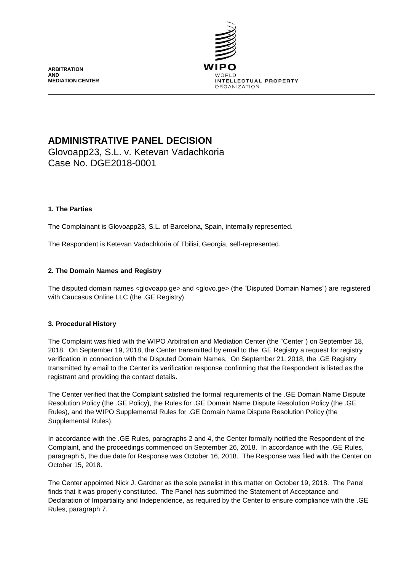**ARBITRATION AND MEDIATION CENTER**



# **ADMINISTRATIVE PANEL DECISION**

Glovoapp23, S.L. v. Ketevan Vadachkoria Case No. DGE2018-0001

# **1. The Parties**

The Complainant is Glovoapp23, S.L. of Barcelona, Spain, internally represented.

The Respondent is Ketevan Vadachkoria of Tbilisi, Georgia, self-represented.

# **2. The Domain Names and Registry**

The disputed domain names <glovoapp.ge> and <glovo.ge> (the "Disputed Domain Names") are registered with Caucasus Online LLC (the .GE Registry).

# **3. Procedural History**

The Complaint was filed with the WIPO Arbitration and Mediation Center (the "Center") on September 18, 2018. On September 19, 2018, the Center transmitted by email to the. GE Registry a request for registry verification in connection with the Disputed Domain Names. On September 21, 2018, the .GE Registry transmitted by email to the Center its verification response confirming that the Respondent is listed as the registrant and providing the contact details.

The Center verified that the Complaint satisfied the formal requirements of the .GE Domain Name Dispute Resolution Policy (the .GE Policy), the Rules for .GE Domain Name Dispute Resolution Policy (the .GE Rules), and the WIPO Supplemental Rules for .GE Domain Name Dispute Resolution Policy (the Supplemental Rules).

In accordance with the .GE Rules, paragraphs 2 and 4, the Center formally notified the Respondent of the Complaint, and the proceedings commenced on September 26, 2018. In accordance with the .GE Rules, paragraph 5, the due date for Response was October 16, 2018. The Response was filed with the Center on October 15, 2018.

The Center appointed Nick J. Gardner as the sole panelist in this matter on October 19, 2018. The Panel finds that it was properly constituted. The Panel has submitted the Statement of Acceptance and Declaration of Impartiality and Independence, as required by the Center to ensure compliance with the .GE Rules, paragraph 7.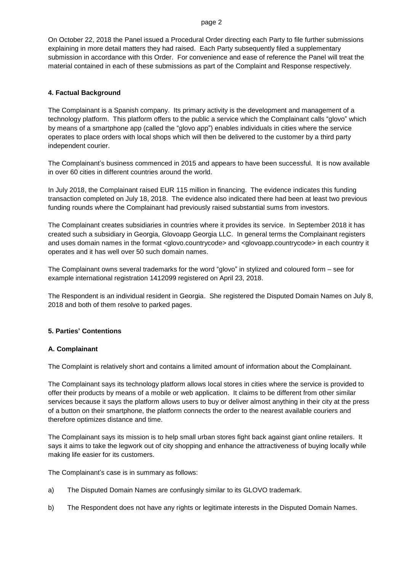#### page 2

On October 22, 2018 the Panel issued a Procedural Order directing each Party to file further submissions explaining in more detail matters they had raised. Each Party subsequently filed a supplementary submission in accordance with this Order. For convenience and ease of reference the Panel will treat the material contained in each of these submissions as part of the Complaint and Response respectively.

## **4. Factual Background**

The Complainant is a Spanish company. Its primary activity is the development and management of a technology platform. This platform offers to the public a service which the Complainant calls "glovo" which by means of a smartphone app (called the "glovo app") enables individuals in cities where the service operates to place orders with local shops which will then be delivered to the customer by a third party independent courier.

The Complainant's business commenced in 2015 and appears to have been successful. It is now available in over 60 cities in different countries around the world.

In July 2018, the Complainant raised EUR 115 million in financing. The evidence indicates this funding transaction completed on July 18, 2018. The evidence also indicated there had been at least two previous funding rounds where the Complainant had previously raised substantial sums from investors.

The Complainant creates subsidiaries in countries where it provides its service. In September 2018 it has created such a subsidiary in Georgia, Glovoapp Georgia LLC. In general terms the Complainant registers and uses domain names in the format <glovo.countrycode> and <glovoapp.countrycode> in each country it operates and it has well over 50 such domain names.

The Complainant owns several trademarks for the word "glovo" in stylized and coloured form – see for example international registration 1412099 registered on April 23, 2018.

The Respondent is an individual resident in Georgia. She registered the Disputed Domain Names on July 8, 2018 and both of them resolve to parked pages.

### **5. Parties' Contentions**

### **A. Complainant**

The Complaint is relatively short and contains a limited amount of information about the Complainant.

The Complainant says its technology platform allows local stores in cities where the service is provided to offer their products by means of a mobile or web application. It claims to be different from other similar services because it says the platform allows users to buy or deliver almost anything in their city at the press of a button on their smartphone, the platform connects the order to the nearest available couriers and therefore optimizes distance and time.

The Complainant says its mission is to help small urban stores fight back against giant online retailers. It says it aims to take the legwork out of city shopping and enhance the attractiveness of buying locally while making life easier for its customers.

The Complainant's case is in summary as follows:

- a) The Disputed Domain Names are confusingly similar to its GLOVO trademark.
- b) The Respondent does not have any rights or legitimate interests in the Disputed Domain Names.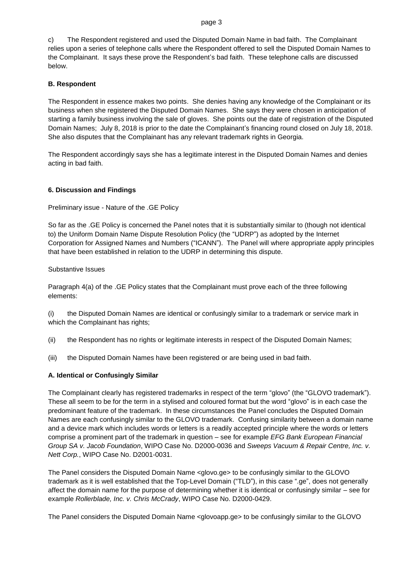#### page 3

c) The Respondent registered and used the Disputed Domain Name in bad faith. The Complainant relies upon a series of telephone calls where the Respondent offered to sell the Disputed Domain Names to the Complainant. It says these prove the Respondent's bad faith. These telephone calls are discussed below.

# **B. Respondent**

The Respondent in essence makes two points. She denies having any knowledge of the Complainant or its business when she registered the Disputed Domain Names. She says they were chosen in anticipation of starting a family business involving the sale of gloves. She points out the date of registration of the Disputed Domain Names; July 8, 2018 is prior to the date the Complainant's financing round closed on July 18, 2018. She also disputes that the Complainant has any relevant trademark rights in Georgia.

The Respondent accordingly says she has a legitimate interest in the Disputed Domain Names and denies acting in bad faith.

# **6. Discussion and Findings**

Preliminary issue - Nature of the .GE Policy

So far as the .GE Policy is concerned the Panel notes that it is substantially similar to (though not identical to) the Uniform Domain Name Dispute Resolution Policy (the "UDRP") as adopted by the Internet Corporation for Assigned Names and Numbers ("ICANN"). The Panel will where appropriate apply principles that have been established in relation to the UDRP in determining this dispute.

### Substantive Issues

Paragraph 4(a) of the .GE Policy states that the Complainant must prove each of the three following elements:

(i) the Disputed Domain Names are identical or confusingly similar to a trademark or service mark in which the Complainant has rights;

(ii) the Respondent has no rights or legitimate interests in respect of the Disputed Domain Names;

(iii) the Disputed Domain Names have been registered or are being used in bad faith.

# **A. Identical or Confusingly Similar**

The Complainant clearly has registered trademarks in respect of the term "glovo" (the "GLOVO trademark"). These all seem to be for the term in a stylised and coloured format but the word "glovo" is in each case the predominant feature of the trademark. In these circumstances the Panel concludes the Disputed Domain Names are each confusingly similar to the GLOVO trademark. Confusing similarity between a domain name and a device mark which includes words or letters is a readily accepted principle where the words or letters comprise a prominent part of the trademark in question – see for example *EFG Bank European Financial Group SA v. Jacob Foundation*, WIPO Case No. D2000-0036 and *Sweeps Vacuum & Repair Centre, Inc. v. Nett Corp.*, WIPO Case No. D2001-0031.

The Panel considers the Disputed Domain Name <glovo.ge> to be confusingly similar to the GLOVO trademark as it is well established that the Top-Level Domain ("TLD"), in this case ".ge", does not generally affect the domain name for the purpose of determining whether it is identical or confusingly similar – see for example *Rollerblade, Inc. v. Chris McCrady*, WIPO Case No. D2000-0429.

The Panel considers the Disputed Domain Name <glovoapp.ge> to be confusingly similar to the GLOVO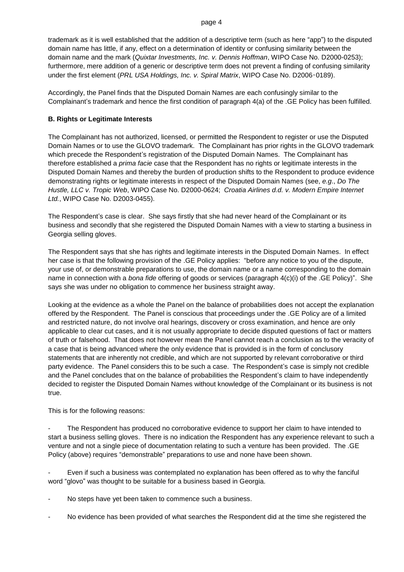trademark as it is well established that the addition of a descriptive term (such as here "app") to the disputed domain name has little, if any, effect on a determination of identity or confusing similarity between the domain name and the mark (*Quixtar Investments, Inc. v. Dennis Hoffman*, WIPO Case No. D2000-0253); furthermore, mere addition of a generic or descriptive term does not prevent a finding of confusing similarity under the first element (*PRL USA Holdings, Inc. v. Spiral Matrix*, WIPO Case No. D2006‑0189).

Accordingly, the Panel finds that the Disputed Domain Names are each confusingly similar to the Complainant's trademark and hence the first condition of paragraph 4(a) of the .GE Policy has been fulfilled.

# **B. Rights or Legitimate Interests**

The Complainant has not authorized, licensed, or permitted the Respondent to register or use the Disputed Domain Names or to use the GLOVO trademark. The Complainant has prior rights in the GLOVO trademark which precede the Respondent's registration of the Disputed Domain Names. The Complainant has therefore established a *prima facie* case that the Respondent has no rights or legitimate interests in the Disputed Domain Names and thereby the burden of production shifts to the Respondent to produce evidence demonstrating rights or legitimate interests in respect of the Disputed Domain Names (see, *e.g*., *Do The Hustle, LLC v. Tropic Web*, WIPO Case No. D2000-0624; *Croatia Airlines d.d. v. Modern Empire Internet Ltd.*, WIPO Case No. D2003-0455).

The Respondent's case is clear. She says firstly that she had never heard of the Complainant or its business and secondly that she registered the Disputed Domain Names with a view to starting a business in Georgia selling gloves.

The Respondent says that she has rights and legitimate interests in the Disputed Domain Names. In effect her case is that the following provision of the .GE Policy applies: "before any notice to you of the dispute, your use of, or demonstrable preparations to use, the domain name or a name corresponding to the domain name in connection with a *bona fide* offering of goods or services (paragraph 4(c)(i) of the .GE Policy)". She says she was under no obligation to commence her business straight away.

Looking at the evidence as a whole the Panel on the balance of probabilities does not accept the explanation offered by the Respondent. The Panel is conscious that proceedings under the .GE Policy are of a limited and restricted nature, do not involve oral hearings, discovery or cross examination, and hence are only applicable to clear cut cases, and it is not usually appropriate to decide disputed questions of fact or matters of truth or falsehood. That does not however mean the Panel cannot reach a conclusion as to the veracity of a case that is being advanced where the only evidence that is provided is in the form of conclusory statements that are inherently not credible, and which are not supported by relevant corroborative or third party evidence. The Panel considers this to be such a case. The Respondent's case is simply not credible and the Panel concludes that on the balance of probabilities the Respondent's claim to have independently decided to register the Disputed Domain Names without knowledge of the Complainant or its business is not true.

This is for the following reasons:

The Respondent has produced no corroborative evidence to support her claim to have intended to start a business selling gloves. There is no indication the Respondent has any experience relevant to such a venture and not a single piece of documentation relating to such a venture has been provided. The .GE Policy (above) requires "demonstrable" preparations to use and none have been shown.

Even if such a business was contemplated no explanation has been offered as to why the fanciful word "glovo" was thought to be suitable for a business based in Georgia.

No steps have yet been taken to commence such a business.

No evidence has been provided of what searches the Respondent did at the time she registered the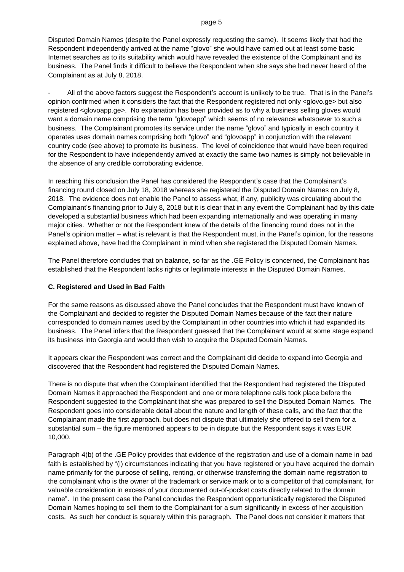Disputed Domain Names (despite the Panel expressly requesting the same). It seems likely that had the Respondent independently arrived at the name "glovo" she would have carried out at least some basic Internet searches as to its suitability which would have revealed the existence of the Complainant and its business. The Panel finds it difficult to believe the Respondent when she says she had never heard of the Complainant as at July 8, 2018.

All of the above factors suggest the Respondent's account is unlikely to be true. That is in the Panel's opinion confirmed when it considers the fact that the Respondent registered not only <glovo.ge> but also registered <glovoapp.ge>. No explanation has been provided as to why a business selling gloves would want a domain name comprising the term "glovoapp" which seems of no relevance whatsoever to such a business. The Complainant promotes its service under the name "glovo" and typically in each country it operates uses domain names comprising both "glovo" and "glovoapp" in conjunction with the relevant country code (see above) to promote its business. The level of coincidence that would have been required for the Respondent to have independently arrived at exactly the same two names is simply not believable in the absence of any credible corroborating evidence.

In reaching this conclusion the Panel has considered the Respondent's case that the Complainant's financing round closed on July 18, 2018 whereas she registered the Disputed Domain Names on July 8, 2018. The evidence does not enable the Panel to assess what, if any, publicity was circulating about the Complainant's financing prior to July 8, 2018 but it is clear that in any event the Complainant had by this date developed a substantial business which had been expanding internationally and was operating in many major cities. Whether or not the Respondent knew of the details of the financing round does not in the Panel's opinion matter – what is relevant is that the Respondent must, in the Panel's opinion, for the reasons explained above, have had the Complainant in mind when she registered the Disputed Domain Names.

The Panel therefore concludes that on balance, so far as the .GE Policy is concerned, the Complainant has established that the Respondent lacks rights or legitimate interests in the Disputed Domain Names.

#### **C. Registered and Used in Bad Faith**

For the same reasons as discussed above the Panel concludes that the Respondent must have known of the Complainant and decided to register the Disputed Domain Names because of the fact their nature corresponded to domain names used by the Complainant in other countries into which it had expanded its business. The Panel infers that the Respondent guessed that the Complainant would at some stage expand its business into Georgia and would then wish to acquire the Disputed Domain Names.

It appears clear the Respondent was correct and the Complainant did decide to expand into Georgia and discovered that the Respondent had registered the Disputed Domain Names.

There is no dispute that when the Complainant identified that the Respondent had registered the Disputed Domain Names it approached the Respondent and one or more telephone calls took place before the Respondent suggested to the Complainant that she was prepared to sell the Disputed Domain Names. The Respondent goes into considerable detail about the nature and length of these calls, and the fact that the Complainant made the first approach, but does not dispute that ultimately she offered to sell them for a substantial sum – the figure mentioned appears to be in dispute but the Respondent says it was EUR 10,000.

Paragraph 4(b) of the .GE Policy provides that evidence of the registration and use of a domain name in bad faith is established by "(i) circumstances indicating that you have registered or you have acquired the domain name primarily for the purpose of selling, renting, or otherwise transferring the domain name registration to the complainant who is the owner of the trademark or service mark or to a competitor of that complainant, for valuable consideration in excess of your documented out-of-pocket costs directly related to the domain name". In the present case the Panel concludes the Respondent opportunistically registered the Disputed Domain Names hoping to sell them to the Complainant for a sum significantly in excess of her acquisition costs. As such her conduct is squarely within this paragraph. The Panel does not consider it matters that